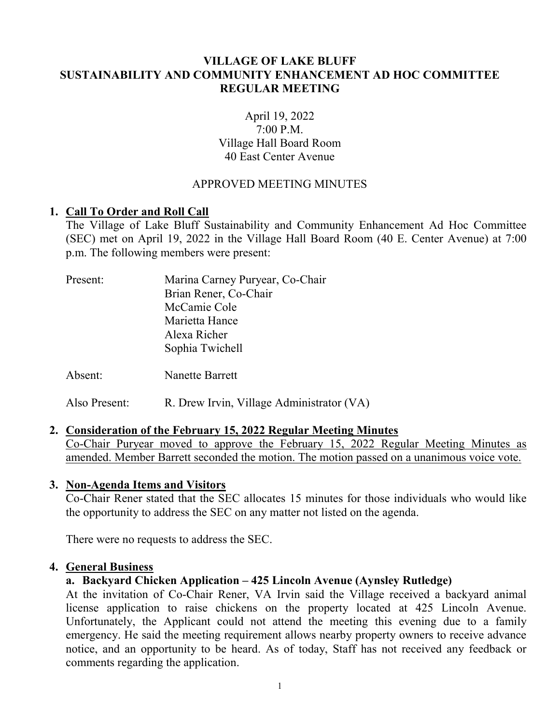# **VILLAGE OF LAKE BLUFF SUSTAINABILITY AND COMMUNITY ENHANCEMENT AD HOC COMMITTEE REGULAR MEETING**

# April 19, 2022 7:00 P.M. Village Hall Board Room 40 East Center Avenue

# APPROVED MEETING MINUTES

#### **1. Call To Order and Roll Call**

The Village of Lake Bluff Sustainability and Community Enhancement Ad Hoc Committee (SEC) met on April 19, 2022 in the Village Hall Board Room (40 E. Center Avenue) at 7:00 p.m. The following members were present:

| Present: | Marina Carney Puryear, Co-Chair |
|----------|---------------------------------|
|          | Brian Rener, Co-Chair           |
|          | McCamie Cole                    |
|          | Marietta Hance                  |
|          | Alexa Richer                    |
|          | Sophia Twichell                 |
| Absent:  | <b>Nanette Barrett</b>          |

Also Present: R. Drew Irvin, Village Administrator (VA)

#### **2. Consideration of the February 15, 2022 Regular Meeting Minutes**

Co-Chair Puryear moved to approve the February 15, 2022 Regular Meeting Minutes as amended. Member Barrett seconded the motion. The motion passed on a unanimous voice vote.

#### **3. Non-Agenda Items and Visitors**

Co-Chair Rener stated that the SEC allocates 15 minutes for those individuals who would like the opportunity to address the SEC on any matter not listed on the agenda.

There were no requests to address the SEC.

#### **4. General Business**

# **a. Backyard Chicken Application – 425 Lincoln Avenue (Aynsley Rutledge)**

At the invitation of Co-Chair Rener, VA Irvin said the Village received a backyard animal license application to raise chickens on the property located at 425 Lincoln Avenue. Unfortunately, the Applicant could not attend the meeting this evening due to a family emergency. He said the meeting requirement allows nearby property owners to receive advance notice, and an opportunity to be heard. As of today, Staff has not received any feedback or comments regarding the application.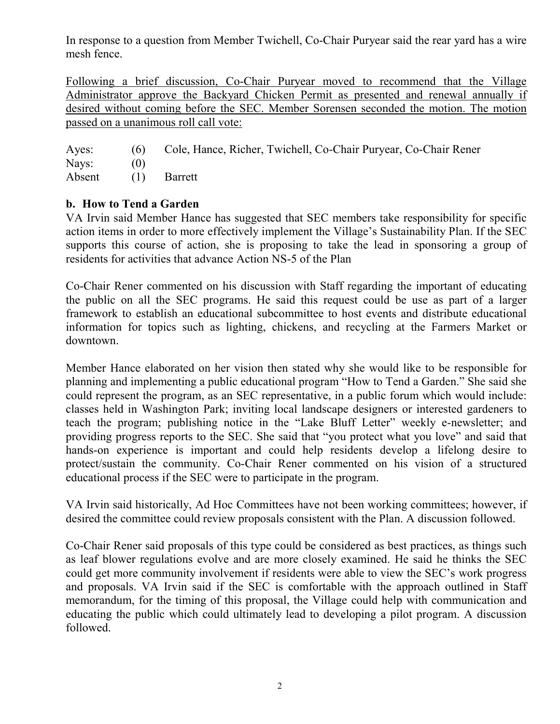In response to a question from Member Twichell, Co-Chair Puryear said the rear yard has a wire mesh fence.

Following a brief discussion, Co-Chair Puryear moved to recommend that the Village Administrator approve the Backyard Chicken Permit as presented and renewal annually if desired without coming before the SEC. Member Sorensen seconded the motion. The motion passed on a unanimous roll call vote:

| Ayes:              | (6) Cole, Hance, Richer, Twichell, Co-Chair Puryear, Co-Chair Rener |
|--------------------|---------------------------------------------------------------------|
| Nays: $(0)$        |                                                                     |
| Absent (1) Barrett |                                                                     |

# **b. How to Tend a Garden**

VA Irvin said Member Hance has suggested that SEC members take responsibility for specific action items in order to more effectively implement the Village's Sustainability Plan. If the SEC supports this course of action, she is proposing to take the lead in sponsoring a group of residents for activities that advance Action NS-5 of the Plan

Co-Chair Rener commented on his discussion with Staff regarding the important of educating the public on all the SEC programs. He said this request could be use as part of a larger framework to establish an educational subcommittee to host events and distribute educational information for topics such as lighting, chickens, and recycling at the Farmers Market or downtown.

Member Hance elaborated on her vision then stated why she would like to be responsible for planning and implementing a public educational program "How to Tend a Garden." She said she could represent the program, as an SEC representative, in a public forum which would include: classes held in Washington Park; inviting local landscape designers or interested gardeners to teach the program; publishing notice in the "Lake Bluff Letter" weekly e-newsletter; and providing progress reports to the SEC. She said that "you protect what you love" and said that hands-on experience is important and could help residents develop a lifelong desire to protect/sustain the community. Co-Chair Rener commented on his vision of a structured educational process if the SEC were to participate in the program.

VA Irvin said historically, Ad Hoc Committees have not been working committees; however, if desired the committee could review proposals consistent with the Plan. A discussion followed.

Co-Chair Rener said proposals of this type could be considered as best practices, as things such as leaf blower regulations evolve and are more closely examined. He said he thinks the SEC could get more community involvement if residents were able to view the SEC's work progress and proposals. VA Irvin said if the SEC is comfortable with the approach outlined in Staff memorandum, for the timing of this proposal, the Village could help with communication and educating the public which could ultimately lead to developing a pilot program. A discussion followed.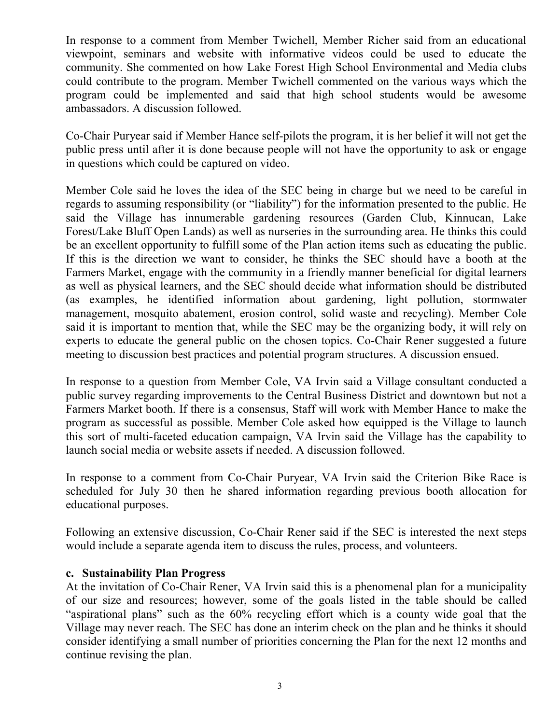In response to a comment from Member Twichell, Member Richer said from an educational viewpoint, seminars and website with informative videos could be used to educate the community. She commented on how Lake Forest High School Environmental and Media clubs could contribute to the program. Member Twichell commented on the various ways which the program could be implemented and said that high school students would be awesome ambassadors. A discussion followed.

Co-Chair Puryear said if Member Hance self-pilots the program, it is her belief it will not get the public press until after it is done because people will not have the opportunity to ask or engage in questions which could be captured on video.

Member Cole said he loves the idea of the SEC being in charge but we need to be careful in regards to assuming responsibility (or "liability") for the information presented to the public. He said the Village has innumerable gardening resources (Garden Club, Kinnucan, Lake Forest/Lake Bluff Open Lands) as well as nurseries in the surrounding area. He thinks this could be an excellent opportunity to fulfill some of the Plan action items such as educating the public. If this is the direction we want to consider, he thinks the SEC should have a booth at the Farmers Market, engage with the community in a friendly manner beneficial for digital learners as well as physical learners, and the SEC should decide what information should be distributed (as examples, he identified information about gardening, light pollution, stormwater management, mosquito abatement, erosion control, solid waste and recycling). Member Cole said it is important to mention that, while the SEC may be the organizing body, it will rely on experts to educate the general public on the chosen topics. Co-Chair Rener suggested a future meeting to discussion best practices and potential program structures. A discussion ensued.

In response to a question from Member Cole, VA Irvin said a Village consultant conducted a public survey regarding improvements to the Central Business District and downtown but not a Farmers Market booth. If there is a consensus, Staff will work with Member Hance to make the program as successful as possible. Member Cole asked how equipped is the Village to launch this sort of multi-faceted education campaign, VA Irvin said the Village has the capability to launch social media or website assets if needed. A discussion followed.

In response to a comment from Co-Chair Puryear, VA Irvin said the Criterion Bike Race is scheduled for July 30 then he shared information regarding previous booth allocation for educational purposes.

Following an extensive discussion, Co-Chair Rener said if the SEC is interested the next steps would include a separate agenda item to discuss the rules, process, and volunteers.

#### **c. Sustainability Plan Progress**

At the invitation of Co-Chair Rener, VA Irvin said this is a phenomenal plan for a municipality of our size and resources; however, some of the goals listed in the table should be called "aspirational plans" such as the 60% recycling effort which is a county wide goal that the Village may never reach. The SEC has done an interim check on the plan and he thinks it should consider identifying a small number of priorities concerning the Plan for the next 12 months and continue revising the plan.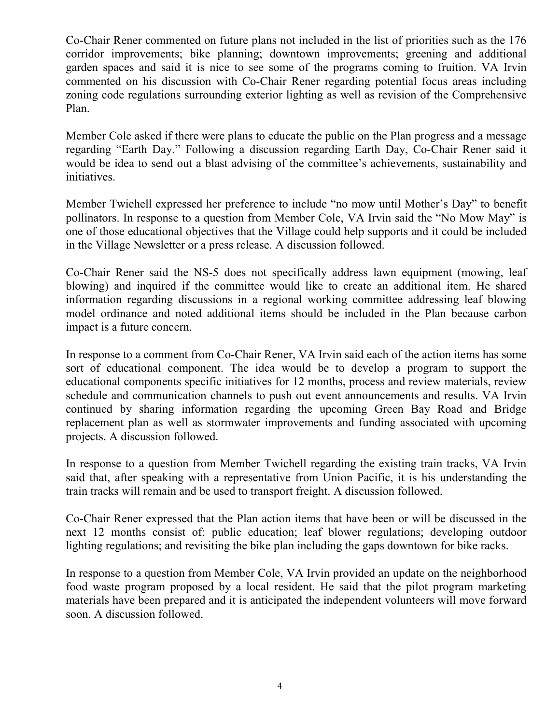Co-Chair Rener commented on future plans not included in the list of priorities such as the 176 corridor improvements; bike planning; downtown improvements; greening and additional garden spaces and said it is nice to see some of the programs coming to fruition. VA Irvin commented on his discussion with Co-Chair Rener regarding potential focus areas including zoning code regulations surrounding exterior lighting as well as revision of the Comprehensive Plan.

Member Cole asked if there were plans to educate the public on the Plan progress and a message regarding "Earth Day." Following a discussion regarding Earth Day, Co-Chair Rener said it would be idea to send out a blast advising of the committee's achievements, sustainability and initiatives.

Member Twichell expressed her preference to include "no mow until Mother's Day" to benefit pollinators. In response to a question from Member Cole, VA Irvin said the "No Mow May" is one of those educational objectives that the Village could help supports and it could be included in the Village Newsletter or a press release. A discussion followed.

Co-Chair Rener said the NS-5 does not specifically address lawn equipment (mowing, leaf blowing) and inquired if the committee would like to create an additional item. He shared information regarding discussions in a regional working committee addressing leaf blowing model ordinance and noted additional items should be included in the Plan because carbon impact is a future concern.

In response to a comment from Co-Chair Rener, VA Irvin said each of the action items has some sort of educational component. The idea would be to develop a program to support the educational components specific initiatives for 12 months, process and review materials, review schedule and communication channels to push out event announcements and results. VA Irvin continued by sharing information regarding the upcoming Green Bay Road and Bridge replacement plan as well as stormwater improvements and funding associated with upcoming projects. A discussion followed.

In response to a question from Member Twichell regarding the existing train tracks, VA Irvin said that, after speaking with a representative from Union Pacific, it is his understanding the train tracks will remain and be used to transport freight. A discussion followed.

Co-Chair Rener expressed that the Plan action items that have been or will be discussed in the next 12 months consist of: public education; leaf blower regulations; developing outdoor lighting regulations; and revisiting the bike plan including the gaps downtown for bike racks.

In response to a question from Member Cole, VA Irvin provided an update on the neighborhood food waste program proposed by a local resident. He said that the pilot program marketing materials have been prepared and it is anticipated the independent volunteers will move forward soon. A discussion followed.